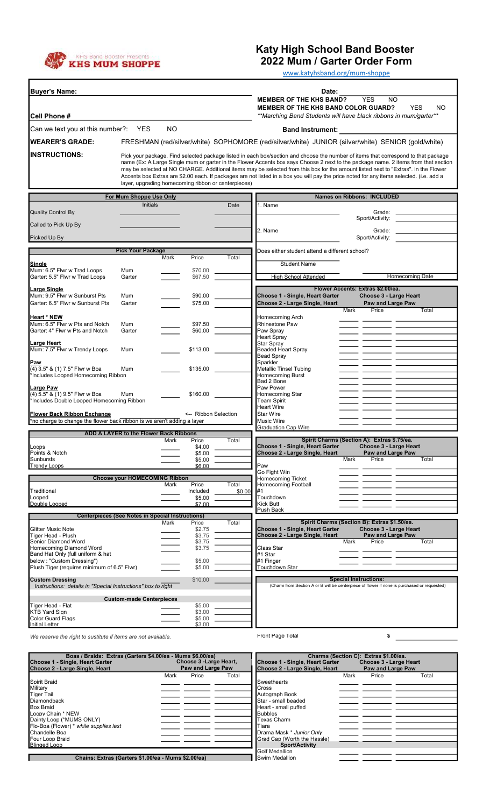

## Katy High School Band Booster

2022 Mum / Garter Order Form

www.katyhsband.org/mum-shoppe

| <b>Buyer's Name:</b>                                                                   |                                                         |      |                      |                                                           | Date:                                                                    |                                                                                                                                                                                                                                                                                                                                                                                                                      |
|----------------------------------------------------------------------------------------|---------------------------------------------------------|------|----------------------|-----------------------------------------------------------|--------------------------------------------------------------------------|----------------------------------------------------------------------------------------------------------------------------------------------------------------------------------------------------------------------------------------------------------------------------------------------------------------------------------------------------------------------------------------------------------------------|
|                                                                                        |                                                         |      |                      | <b>YES</b><br><b>MEMBER OF THE KHS BAND?</b><br><b>NO</b> |                                                                          |                                                                                                                                                                                                                                                                                                                                                                                                                      |
| <b>Cell Phone #</b>                                                                    |                                                         |      |                      |                                                           | <b>MEMBER OF THE KHS BAND COLOR GUARD?</b>                               | <b>YES</b><br><b>NO</b><br>**Marching Band Students will have black ribbons in mum/garter**                                                                                                                                                                                                                                                                                                                          |
| Can we text you at this number?: YES                                                   |                                                         | NO.  |                      |                                                           | <b>Band Instrument:</b>                                                  |                                                                                                                                                                                                                                                                                                                                                                                                                      |
| <b>WEARER'S GRADE:</b>                                                                 |                                                         |      |                      |                                                           |                                                                          | FRESHMAN (red/silver/white) SOPHOMORE (red/silver/white) JUNIOR (silver/white) SENIOR (gold/white)                                                                                                                                                                                                                                                                                                                   |
| <b>IINSTRUCTIONS:</b>                                                                  |                                                         |      |                      |                                                           |                                                                          | Pick your package. Find selected package listed in each box/section and choose the number of items that correspond to that package                                                                                                                                                                                                                                                                                   |
|                                                                                        |                                                         |      |                      | layer, upgrading homecoming ribbon or centerpieces)       |                                                                          | name (Ex: A Large Single mum or garter in the Flower Accents box says Choose 2 next to the package name. 2 items from that section<br>may be selected at NO CHARGE. Additional items may be selected from this box for the amount listed next to "Extras". In the Flower<br>Accents box Extras are \$2.00 each. If packages are not listed in a box you will pay the price noted for any items selected. (i.e. add a |
|                                                                                        | For Mum Shoppe Use Only                                 |      |                      |                                                           |                                                                          | <b>Names on Ribbons: INCLUDED</b>                                                                                                                                                                                                                                                                                                                                                                                    |
|                                                                                        | <b>Initials</b>                                         |      |                      | Date                                                      | 1. Name                                                                  |                                                                                                                                                                                                                                                                                                                                                                                                                      |
| <b>Quality Control By</b>                                                              |                                                         |      |                      |                                                           |                                                                          | Grade:<br>Sport/Activity:                                                                                                                                                                                                                                                                                                                                                                                            |
| Called to Pick Up By                                                                   |                                                         |      |                      |                                                           | 2. Name                                                                  | Grade:                                                                                                                                                                                                                                                                                                                                                                                                               |
| Picked Up By                                                                           |                                                         |      |                      |                                                           |                                                                          | Sport/Activity:                                                                                                                                                                                                                                                                                                                                                                                                      |
|                                                                                        | <b>Pick Your Package</b>                                |      |                      |                                                           | Does either student attend a different school?                           |                                                                                                                                                                                                                                                                                                                                                                                                                      |
|                                                                                        |                                                         | Mark | Price                | Total                                                     |                                                                          |                                                                                                                                                                                                                                                                                                                                                                                                                      |
| Single<br>Mum: 6.5" Flwr w Trad Loops                                                  | Mum                                                     |      | \$70.00              |                                                           | <b>Student Name</b>                                                      |                                                                                                                                                                                                                                                                                                                                                                                                                      |
| Garter: 5.5" Flwr w Trad Loops                                                         | Garter                                                  |      | \$67.50              |                                                           | <b>High School Attended</b>                                              | <b>Homecoming Date</b>                                                                                                                                                                                                                                                                                                                                                                                               |
| Large Single                                                                           |                                                         |      |                      |                                                           |                                                                          | Flower Accents: Extras \$2.00/ea.                                                                                                                                                                                                                                                                                                                                                                                    |
| Mum: 9.5" Flwr w Sunburst Pts<br>Garter: 6.5" Flwr w Sunburst Pts                      | Mum<br>Garter                                           |      | \$90.00<br>\$75.00   |                                                           | Choose 1 - Single, Heart Garter<br>Choose 2 - Large Single, Heart        | Choose 3 - Large Heart<br>Paw and Large Paw                                                                                                                                                                                                                                                                                                                                                                          |
|                                                                                        |                                                         |      |                      |                                                           |                                                                          | Price<br>Mark<br>Total                                                                                                                                                                                                                                                                                                                                                                                               |
| <b>Heart * NEW</b><br>Mum: 6.5" Flwr w Pts and Notch                                   | Mum                                                     |      | \$97.50              |                                                           | Homecoming Arch<br>Rhinestone Paw                                        |                                                                                                                                                                                                                                                                                                                                                                                                                      |
| Garter: 4" Flwr w Pts and Notch                                                        | Garter                                                  |      | \$60.00              |                                                           | Paw Spray                                                                |                                                                                                                                                                                                                                                                                                                                                                                                                      |
| Large Heart                                                                            |                                                         |      |                      |                                                           | <b>Heart Spray</b><br><b>Star Spray</b>                                  |                                                                                                                                                                                                                                                                                                                                                                                                                      |
| Mum: 7.5" Flwr w Trendy Loops                                                          | Mum                                                     |      | \$113.00             |                                                           | Beaded Heart Spray                                                       |                                                                                                                                                                                                                                                                                                                                                                                                                      |
| Paw                                                                                    |                                                         |      |                      |                                                           | <b>Bead Spray</b><br>Sparkler                                            |                                                                                                                                                                                                                                                                                                                                                                                                                      |
| (4) 3.5" & (1) 7.5" Flwr w Boa<br>*Includes Looped Homecoming Ribbon                   | Mum                                                     |      | \$135.00             |                                                           | <b>Metallic Tinsel Tubing</b><br><b>Homecoming Burst</b>                 |                                                                                                                                                                                                                                                                                                                                                                                                                      |
|                                                                                        |                                                         |      |                      |                                                           | Bad 2 Bone                                                               |                                                                                                                                                                                                                                                                                                                                                                                                                      |
| Large Paw<br>(4) 5.5" & (1) 9.5" Flwr w Boa                                            | Mum                                                     |      | \$160.00             |                                                           | Paw Power<br>Homecoming Star                                             |                                                                                                                                                                                                                                                                                                                                                                                                                      |
| *Includes Double Looped Homecoming Ribbon                                              |                                                         |      |                      |                                                           | <b>Team Spirit</b>                                                       |                                                                                                                                                                                                                                                                                                                                                                                                                      |
| <b>Flower Back Ribbon Exchange</b>                                                     |                                                         |      | <-- Ribbon Selection |                                                           | <b>Heart Wire</b><br><b>Star Wire</b>                                    |                                                                                                                                                                                                                                                                                                                                                                                                                      |
| *no charge to change the flower back ribbon is we aren't adding a layer                |                                                         |      |                      |                                                           | <b>Music Wire</b>                                                        |                                                                                                                                                                                                                                                                                                                                                                                                                      |
|                                                                                        | ADD A LAYER to the Flower Back Ribbons                  |      |                      |                                                           | <b>Graduation Cap Wire</b>                                               |                                                                                                                                                                                                                                                                                                                                                                                                                      |
|                                                                                        |                                                         | Mark | Price                | Total                                                     |                                                                          | Spirit Charms (Section A): Extras \$.75/ea.                                                                                                                                                                                                                                                                                                                                                                          |
| Loops<br>Points & Notch                                                                |                                                         |      | \$4.00<br>\$5.00     |                                                           | <b>Choose 1 - Single, Heart Garter</b><br>Choose 2 - Large Single, Heart | Choose 3 - Large Heart<br>Paw and Large Paw                                                                                                                                                                                                                                                                                                                                                                          |
| Sunbursts<br><b>Trendy Loops</b>                                                       |                                                         |      | \$5.00               |                                                           | Paw                                                                      | Mark<br>Price<br>Total                                                                                                                                                                                                                                                                                                                                                                                               |
|                                                                                        |                                                         |      | \$6.00               |                                                           | Go Fight Win                                                             |                                                                                                                                                                                                                                                                                                                                                                                                                      |
|                                                                                        | <b>Choose your HOMECOMING Ribbon</b>                    | Mark | Price                | Total                                                     | <b>Homecoming Ticket</b><br><b>Homecoming Football</b>                   |                                                                                                                                                                                                                                                                                                                                                                                                                      |
| Traditional                                                                            |                                                         |      | Included             | \$0.00                                                    | #1                                                                       |                                                                                                                                                                                                                                                                                                                                                                                                                      |
| Looped<br>Double Looped                                                                |                                                         |      | \$5.00<br>\$7.00     |                                                           | Touchdown<br>Kick Butt                                                   |                                                                                                                                                                                                                                                                                                                                                                                                                      |
|                                                                                        | <b>Centerpieces (See Notes in Special Instructions)</b> |      |                      |                                                           | Push Back                                                                |                                                                                                                                                                                                                                                                                                                                                                                                                      |
|                                                                                        |                                                         | Mark | Price                | Total                                                     |                                                                          | Spirit Charms (Section B): Extras \$1.50/ea.                                                                                                                                                                                                                                                                                                                                                                         |
| <b>Glitter Music Note</b><br>Tiger Head - Plush                                        |                                                         |      | \$2.75<br>\$3.75     |                                                           | <b>Choose 1 - Single, Heart Garter</b><br>Choose 2 - Large Single, Heart | Choose 3 - Large Heart<br>Paw and Large Paw                                                                                                                                                                                                                                                                                                                                                                          |
| Senior Diamond Word                                                                    |                                                         |      | \$3.75               |                                                           |                                                                          | Mark<br>Price<br>Total                                                                                                                                                                                                                                                                                                                                                                                               |
| Homecoming Diamond Word<br>Band Hat Only (full uniform & hat                           |                                                         |      | \$3.75               |                                                           | Class Star<br>#1 Star                                                    |                                                                                                                                                                                                                                                                                                                                                                                                                      |
| below : "Custom Dressing")                                                             |                                                         |      | \$5.00               |                                                           | #1 Finger<br>Touchdown Star                                              |                                                                                                                                                                                                                                                                                                                                                                                                                      |
| Plush Tiger (requires minimum of 6.5" Flwr)                                            |                                                         |      | \$5.00               |                                                           |                                                                          |                                                                                                                                                                                                                                                                                                                                                                                                                      |
| <b>Custom Dressing</b><br>Instructions: details in "Special Instructions" box to right |                                                         |      | \$10.00              |                                                           |                                                                          | <b>Special Instructions:</b><br>(Charm from Section A or B will be centerpiece of flower if none is purchased or requested)                                                                                                                                                                                                                                                                                          |
|                                                                                        |                                                         |      |                      |                                                           |                                                                          |                                                                                                                                                                                                                                                                                                                                                                                                                      |
| Tiger Head - Flat                                                                      | <b>Custom-made Centerpieces</b>                         |      | \$5.00               |                                                           |                                                                          |                                                                                                                                                                                                                                                                                                                                                                                                                      |
| <b>KTB Yard Sign</b>                                                                   |                                                         |      | \$3.00               |                                                           |                                                                          |                                                                                                                                                                                                                                                                                                                                                                                                                      |
| <b>Color Guard Flags</b><br><b>Initial Letter</b>                                      |                                                         |      | \$5.00<br>\$3.00     |                                                           |                                                                          |                                                                                                                                                                                                                                                                                                                                                                                                                      |
| We reserve the right to sustitute if items are not available.                          |                                                         |      |                      |                                                           | Front Page Total                                                         | \$                                                                                                                                                                                                                                                                                                                                                                                                                   |
|                                                                                        |                                                         |      |                      |                                                           |                                                                          |                                                                                                                                                                                                                                                                                                                                                                                                                      |
| Boas / Braids: Extras (Garters \$4,00/ea - Mums \$6,00/ea)                             |                                                         |      |                      |                                                           |                                                                          | Charms (Section C): Extras \$1,00/ea.                                                                                                                                                                                                                                                                                                                                                                                |

| Choose 1 - Single, Heart Garter                     | Choose 3 - Large Heart, |                   |       | Choose 1 - Single, Heart Garter |      | Choose 3 - Large Heart   |       |
|-----------------------------------------------------|-------------------------|-------------------|-------|---------------------------------|------|--------------------------|-------|
| IChoose 2 - Large Single. Heart                     |                         | Paw and Large Paw |       | Choose 2 - Large Single, Heart  |      | <b>Paw and Large Paw</b> |       |
|                                                     | Mark                    | Price             | Total |                                 | Mark | Price                    | Total |
| Spirit Braid                                        |                         |                   |       | Sweethearts                     |      |                          |       |
| Military                                            |                         |                   |       | Cross                           |      |                          |       |
| Tiger Tail                                          |                         |                   |       | Autograph Book                  |      |                          |       |
| Diamondback                                         |                         |                   |       | Star - small beaded             |      |                          |       |
| <b>Box Braid</b>                                    |                         |                   |       | Heart - small puffed            |      |                          |       |
| Loopy Chain * NEW                                   |                         |                   |       | <b>Bubbles</b>                  |      |                          |       |
| Dainty Loop (*MUMS ONLY)                            |                         |                   |       | Texas Charm                     |      |                          |       |
| <b>Flo-Boa (Flower) * while supplies last</b>       |                         |                   |       | Tiara                           |      |                          |       |
| lChandelle Boa                                      |                         |                   |       | Drama Mask * Junior Only        |      |                          |       |
| Four Loop Braid                                     |                         |                   |       | Grad Cap (Worth the Hassle)     |      |                          |       |
| <b>Blinged Loop</b>                                 |                         |                   |       | Sport/Activity                  |      |                          |       |
|                                                     |                         |                   |       | Golf Medallion                  |      |                          |       |
| Chains: Extras (Garters \$1.00/ea - Mums \$2.00/ea) |                         |                   |       | Swim Medallion                  |      |                          |       |